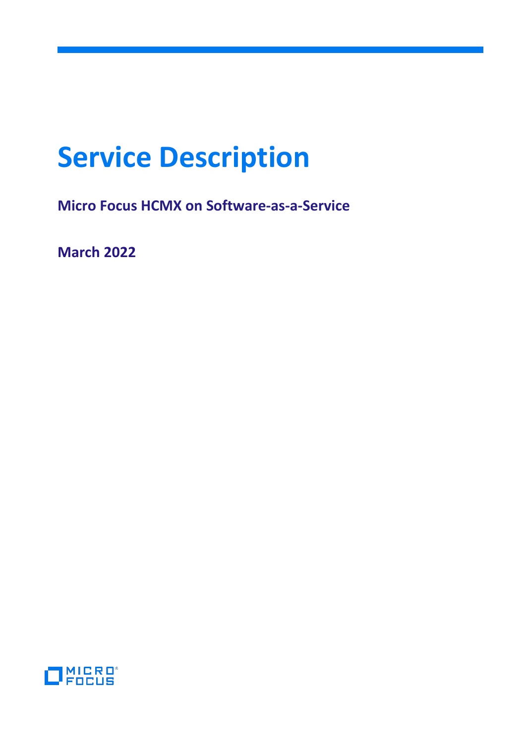# **Service Description**

**Micro Focus HCMX on Software-as-a-Service**

**March 2022**

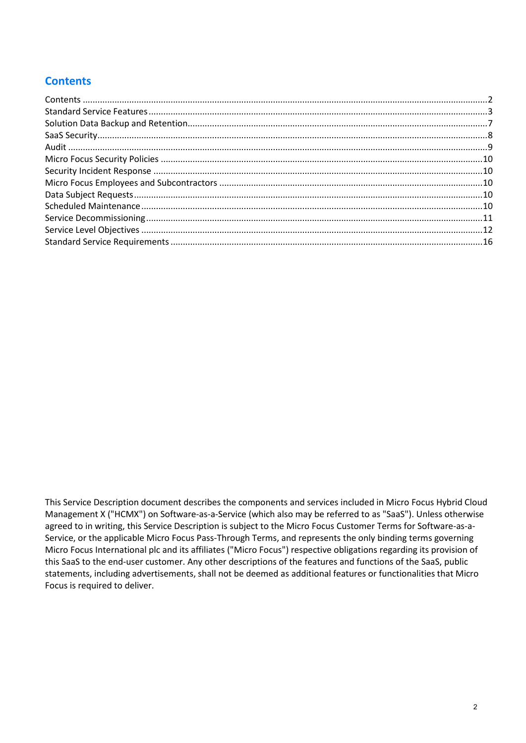# <span id="page-1-0"></span>**Contents**

This Service Description document describes the components and services included in Micro Focus Hybrid Cloud Management X ("HCMX") on Software-as-a-Service (which also may be referred to as "SaaS"). Unless otherwise agreed to in writing, this Service Description is subject to the Micro Focus Customer Terms for Software-as-a-Service, or the applicable Micro Focus Pass-Through Terms, and represents the only binding terms governing Micro Focus International plc and its affiliates ("Micro Focus") respective obligations regarding its provision of this SaaS to the end-user customer. Any other descriptions of the features and functions of the SaaS, public statements, including advertisements, shall not be deemed as additional features or functionalities that Micro Focus is required to deliver.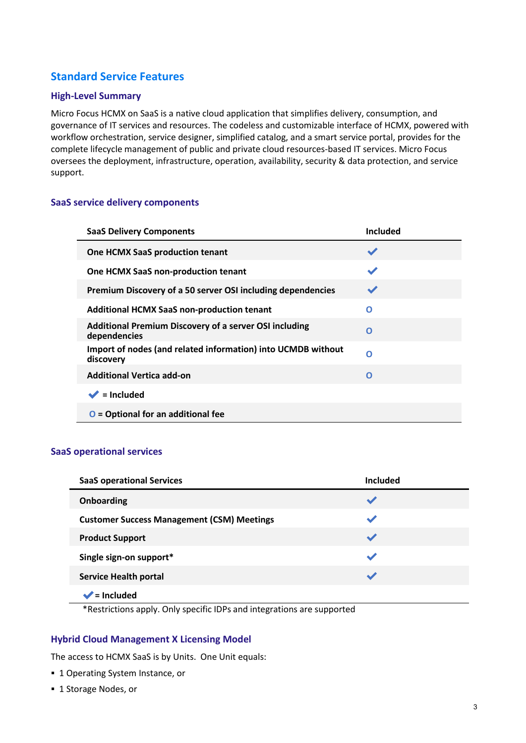# <span id="page-2-0"></span>**Standard Service Features**

## **High-Level Summary**

Micro Focus HCMX on SaaS is a native cloud application that simplifies delivery, consumption, and governance of IT services and resources. The codeless and customizable interface of HCMX, powered with workflow orchestration, service designer, simplified catalog, and a smart service portal, provides for the complete lifecycle management of public and private cloud resources-based IT services. Micro Focus oversees the deployment, infrastructure, operation, availability, security & data protection, and service support.

#### **SaaS service delivery components**

| <b>SaaS Delivery Components</b>                                               | <b>Included</b> |
|-------------------------------------------------------------------------------|-----------------|
| <b>One HCMX SaaS production tenant</b>                                        |                 |
| One HCMX SaaS non-production tenant                                           |                 |
| Premium Discovery of a 50 server OSI including dependencies                   |                 |
| <b>Additional HCMX SaaS non-production tenant</b>                             | Ο               |
| <b>Additional Premium Discovery of a server OSI including</b><br>dependencies | O               |
| Import of nodes (and related information) into UCMDB without<br>discovery     | O               |
| <b>Additional Vertica add-on</b>                                              | O               |
| $\blacktriangleright$ = Included                                              |                 |
| $O =$ Optional for an additional fee                                          |                 |

#### **SaaS operational services**

| <b>SaaS operational Services</b>                  | Included                 |
|---------------------------------------------------|--------------------------|
| Onboarding                                        | $\overline{\phantom{a}}$ |
| <b>Customer Success Management (CSM) Meetings</b> | ↩                        |
| <b>Product Support</b>                            | $\blacktriangleright$    |
| Single sign-on support*                           | ↩                        |
| <b>Service Health portal</b>                      |                          |
| $=$ Included                                      |                          |

\*Restrictions apply. Only specific IDPs and integrations are supported

#### **Hybrid Cloud Management X Licensing Model**

The access to HCMX SaaS is by Units. One Unit equals:

- **1 Operating System Instance, or**
- 1 Storage Nodes, or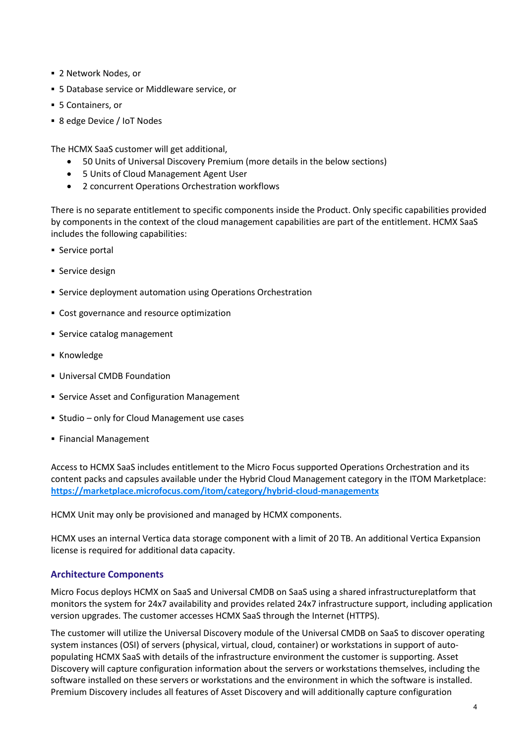- 2 Network Nodes, or
- 5 Database service or Middleware service, or
- 5 Containers, or
- 8 edge Device / IoT Nodes

The HCMX SaaS customer will get additional,

- 50 Units of Universal Discovery Premium (more details in the below sections)
- 5 Units of Cloud Management Agent User
- 2 concurrent Operations Orchestration workflows

There is no separate entitlement to specific components inside the Product. Only specific capabilities provided by components in the context of the cloud management capabilities are part of the entitlement. HCMX SaaS includes the following capabilities:

- **Service portal**
- Service design
- Service deployment automation using Operations Orchestration
- **Cost governance and resource optimization**
- **Service catalog management**
- **Knowledge**
- Universal CMDB Foundation
- **Service Asset and Configuration Management**
- Studio only for Cloud Management use cases
- **Financial Management**

Access to HCMX SaaS includes entitlement to the Micro Focus supported Operations Orchestration and its content packs and capsules available under the Hybrid Cloud Management category in the ITOM Marketplace: **<https://marketplace.microfocus.com/itom/category/hybrid-cloud-managementx>**

HCMX Unit may only be provisioned and managed by HCMX components.

HCMX uses an internal Vertica data storage component with a limit of 20 TB. An additional Vertica Expansion license is required for additional data capacity.

#### **Architecture Components**

Micro Focus deploys HCMX on SaaS and Universal CMDB on SaaS using a shared infrastructureplatform that monitors the system for 24x7 availability and provides related 24x7 infrastructure support, including application version upgrades. The customer accesses HCMX SaaS through the Internet (HTTPS).

The customer will utilize the Universal Discovery module of the Universal CMDB on SaaS to discover operating system instances (OSI) of servers (physical, virtual, cloud, container) or workstations in support of autopopulating HCMX SaaS with details of the infrastructure environment the customer is supporting. Asset Discovery will capture configuration information about the servers or workstations themselves, including the software installed on these servers or workstations and the environment in which the software is installed. Premium Discovery includes all features of Asset Discovery and will additionally capture configuration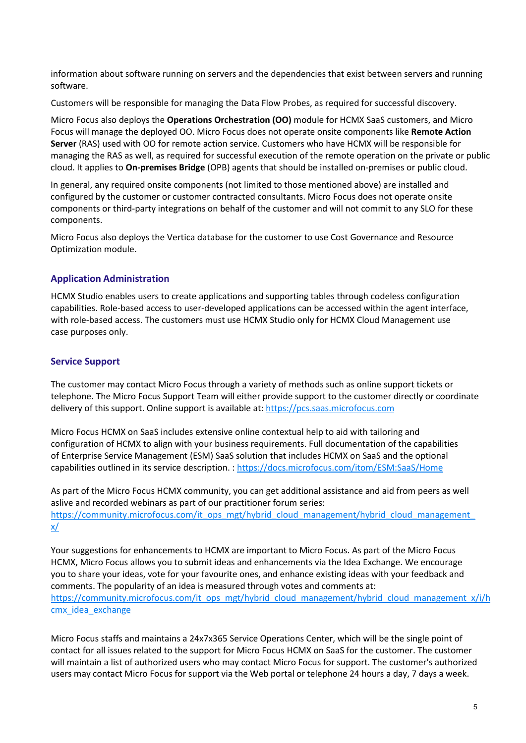information about software running on servers and the dependencies that exist between servers and running software.

Customers will be responsible for managing the Data Flow Probes, as required for successful discovery.

Micro Focus also deploys the **Operations Orchestration (OO)** module for HCMX SaaS customers, and Micro Focus will manage the deployed OO. Micro Focus does not operate onsite components like **Remote Action Server** (RAS) used with OO for remote action service. Customers who have HCMX will be responsible for managing the RAS as well, as required for successful execution of the remote operation on the private or public cloud. It applies to **On-premises Bridge** (OPB) agents that should be installed on-premises or public cloud.

In general, any required onsite components (not limited to those mentioned above) are installed and configured by the customer or customer contracted consultants. Micro Focus does not operate onsite components or third-party integrations on behalf of the customer and will not commit to any SLO for these components.

Micro Focus also deploys the Vertica database for the customer to use Cost Governance and Resource Optimization module.

#### **Application Administration**

HCMX Studio enables users to create applications and supporting tables through codeless configuration capabilities. Role-based access to user-developed applications can be accessed within the agent interface, with role-based access. The customers must use HCMX Studio only for HCMX Cloud Management use case purposes only.

#### **Service Support**

The customer may contact Micro Focus through a variety of methods such as online support tickets or telephone. The Micro Focus Support Team will either provide support to the customer directly or coordinate delivery of this support. Online support is available at: [https://pcs.saas.microfocus.com](https://pcs.saas.microfocus.com/)

Micro Focus HCMX on SaaS includes extensive online contextual help to aid with tailoring and configuration of HCMX to align with your business requirements. Full documentation of the capabilities of Enterprise Service Management (ESM) SaaS solution that includes HCMX on SaaS and the optional capabilities outlined in its service description. : https://docs.microfocus.com/itom/ESM:SaaS/Home

As part of the Micro Focus HCMX community, you can get additional assistance and aid from peers as well aslive and recorded webinars as part of our practitioner forum series: https://community.microfocus.com/it\_ops\_mgt/hybrid\_cloud\_management/hybrid\_cloud\_management [x/](https://community.microfocus.com/it_ops_mgt/hybrid_cloud_management/hybrid_cloud_management_x/)

Your suggestions for enhancements to HCMX are important to Micro Focus. As part of the Micro Focus HCMX, Micro Focus allows you to submit ideas and enhancements via the Idea Exchange. We encourage you to share your ideas, vote for your favourite ones, and enhance existing ideas with your feedback and comments. The popularity of an idea is measured through votes and comments at: https://community.microfocus.com/it\_ops\_mgt/hybrid\_cloud\_management/hybrid\_cloud\_management\_x/i/h cmx idea exchange

Micro Focus staffs and maintains a 24x7x365 Service Operations Center, which will be the single point of contact for all issues related to the support for Micro Focus HCMX on SaaS for the customer. The customer will maintain a list of authorized users who may contact Micro Focus for support. The customer's authorized users may contact Micro Focus for support via the Web portal or telephone 24 hours a day, 7 days a week.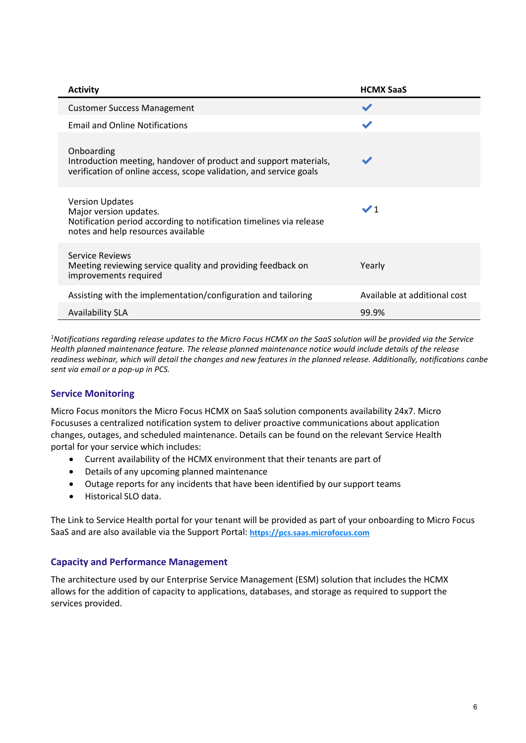| <b>Activity</b>                                                                                                                                               | <b>HCMX SaaS</b>             |
|---------------------------------------------------------------------------------------------------------------------------------------------------------------|------------------------------|
| <b>Customer Success Management</b>                                                                                                                            |                              |
| <b>Email and Online Notifications</b>                                                                                                                         |                              |
| Onboarding<br>Introduction meeting, handover of product and support materials,<br>verification of online access, scope validation, and service goals          |                              |
| <b>Version Updates</b><br>Major version updates.<br>Notification period according to notification timelines via release<br>notes and help resources available | $\checkmark$ 1               |
| Service Reviews<br>Meeting reviewing service quality and providing feedback on<br>improvements required                                                       | Yearly                       |
| Assisting with the implementation/configuration and tailoring                                                                                                 | Available at additional cost |
| <b>Availability SLA</b>                                                                                                                                       | 99.9%                        |

*1 Notifications regarding release updates to the Micro Focus HCMX on the SaaS solution will be provided via the Service Health planned maintenance feature. The release planned maintenance notice would include details of the release readiness webinar, which will detail the changes and new features in the planned release. Additionally, notifications canbe sent via email or a pop-up in PCS.*

# **Service Monitoring**

Micro Focus monitors the Micro Focus HCMX on SaaS solution components availability 24x7. Micro Focususes a centralized notification system to deliver proactive communications about application changes, outages, and scheduled maintenance. Details can be found on the relevant Service Health portal for your service which includes:

- Current availability of the HCMX environment that their tenants are part of
- Details of any upcoming planned maintenance
- Outage reports for any incidents that have been identified by our support teams
- Historical SLO data.

The Link to Service Health portal for your tenant will be provided as part of your onboarding to Micro Focus SaaS and are also available via the Support Portal: **[https://pcs.saas.microfocus.com](https://pcs.saas.microfocus.com/)**

#### **Capacity and Performance Management**

The architecture used by our Enterprise Service Management (ESM) solution that includes the HCMX allows for the addition of capacity to applications, databases, and storage as required to support the services provided.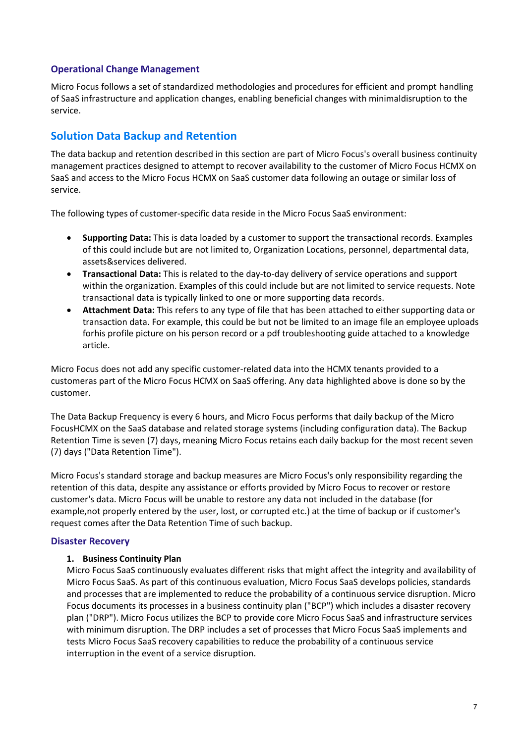#### **Operational Change Management**

Micro Focus follows a set of standardized methodologies and procedures for efficient and prompt handling of SaaS infrastructure and application changes, enabling beneficial changes with minimaldisruption to the service.

# <span id="page-6-0"></span>**Solution Data Backup and Retention**

The data backup and retention described in this section are part of Micro Focus's overall business continuity management practices designed to attempt to recover availability to the customer of Micro Focus HCMX on SaaS and access to the Micro Focus HCMX on SaaS customer data following an outage or similar loss of service.

The following types of customer-specific data reside in the Micro Focus SaaS environment:

- **Supporting Data:** This is data loaded by a customer to support the transactional records. Examples of this could include but are not limited to, Organization Locations, personnel, departmental data, assets&services delivered.
- **Transactional Data:** This is related to the day-to-day delivery of service operations and support within the organization. Examples of this could include but are not limited to service requests. Note transactional data is typically linked to one or more supporting data records.
- **Attachment Data:** This refers to any type of file that has been attached to either supporting data or transaction data. For example, this could be but not be limited to an image file an employee uploads forhis profile picture on his person record or a pdf troubleshooting guide attached to a knowledge article.

Micro Focus does not add any specific customer-related data into the HCMX tenants provided to a customeras part of the Micro Focus HCMX on SaaS offering. Any data highlighted above is done so by the customer.

The Data Backup Frequency is every 6 hours, and Micro Focus performs that daily backup of the Micro FocusHCMX on the SaaS database and related storage systems (including configuration data). The Backup Retention Time is seven (7) days, meaning Micro Focus retains each daily backup for the most recent seven (7) days ("Data Retention Time").

Micro Focus's standard storage and backup measures are Micro Focus's only responsibility regarding the retention of this data, despite any assistance or efforts provided by Micro Focus to recover or restore customer's data. Micro Focus will be unable to restore any data not included in the database (for example,not properly entered by the user, lost, or corrupted etc.) at the time of backup or if customer's request comes after the Data Retention Time of such backup.

#### **Disaster Recovery**

#### **1. Business Continuity Plan**

Micro Focus SaaS continuously evaluates different risks that might affect the integrity and availability of Micro Focus SaaS. As part of this continuous evaluation, Micro Focus SaaS develops policies, standards and processes that are implemented to reduce the probability of a continuous service disruption. Micro Focus documents its processes in a business continuity plan ("BCP") which includes a disaster recovery plan ("DRP"). Micro Focus utilizes the BCP to provide core Micro Focus SaaS and infrastructure services with minimum disruption. The DRP includes a set of processes that Micro Focus SaaS implements and tests Micro Focus SaaS recovery capabilities to reduce the probability of a continuous service interruption in the event of a service disruption.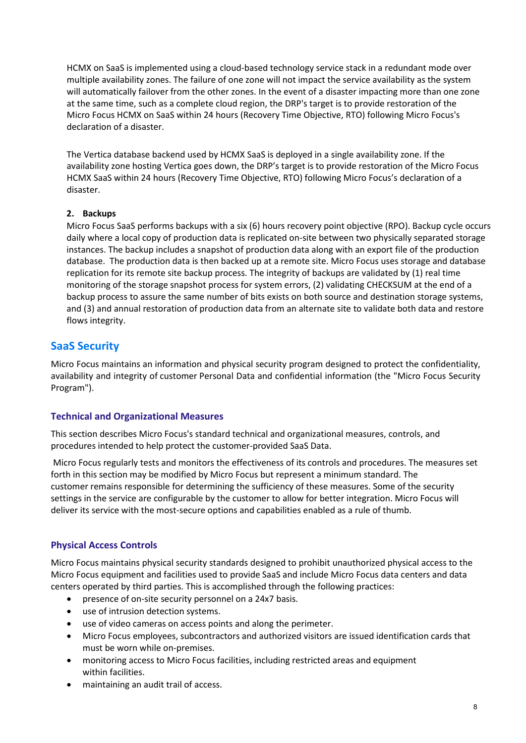HCMX on SaaS is implemented using a cloud-based technology service stack in a redundant mode over multiple availability zones. The failure of one zone will not impact the service availability as the system will automatically failover from the other zones. In the event of a disaster impacting more than one zone at the same time, such as a complete cloud region, the DRP's target is to provide restoration of the Micro Focus HCMX on SaaS within 24 hours (Recovery Time Objective, RTO) following Micro Focus's declaration of a disaster.

The Vertica database backend used by HCMX SaaS is deployed in a single availability zone. If the availability zone hosting Vertica goes down, the DRP's target is to provide restoration of the Micro Focus HCMX SaaS within 24 hours (Recovery Time Objective, RTO) following Micro Focus's declaration of a disaster.

## **2. Backups**

Micro Focus SaaS performs backups with a six (6) hours recovery point objective (RPO). Backup cycle occurs daily where a local copy of production data is replicated on-site between two physically separated storage instances. The backup includes a snapshot of production data along with an export file of the production database. The production data is then backed up at a remote site. Micro Focus uses storage and database replication for its remote site backup process. The integrity of backups are validated by (1) real time monitoring of the storage snapshot process for system errors, (2) validating CHECKSUM at the end of a backup process to assure the same number of bits exists on both source and destination storage systems, and (3) and annual restoration of production data from an alternate site to validate both data and restore flows integrity.

# <span id="page-7-0"></span>**SaaS Security**

Micro Focus maintains an information and physical security program designed to protect the confidentiality, availability and integrity of customer Personal Data and confidential information (the "Micro Focus Security Program").

# **Technical and Organizational Measures**

This section describes Micro Focus's standard technical and organizational measures, controls, and procedures intended to help protect the customer-provided SaaS Data.

Micro Focus regularly tests and monitors the effectiveness of its controls and procedures. The measures set forth in this section may be modified by Micro Focus but represent a minimum standard. The customer remains responsible for determining the sufficiency of these measures. Some of the security settings in the service are configurable by the customer to allow for better integration. Micro Focus will deliver its service with the most-secure options and capabilities enabled as a rule of thumb.

# **Physical Access Controls**

Micro Focus maintains physical security standards designed to prohibit unauthorized physical access to the Micro Focus equipment and facilities used to provide SaaS and include Micro Focus data centers and data centers operated by third parties. This is accomplished through the following practices:

- presence of on-site security personnel on a 24x7 basis.
- use of intrusion detection systems.
- use of video cameras on access points and along the perimeter.
- Micro Focus employees, subcontractors and authorized visitors are issued identification cards that must be worn while on-premises.
- monitoring access to Micro Focus facilities, including restricted areas and equipment within facilities.
- maintaining an audit trail of access.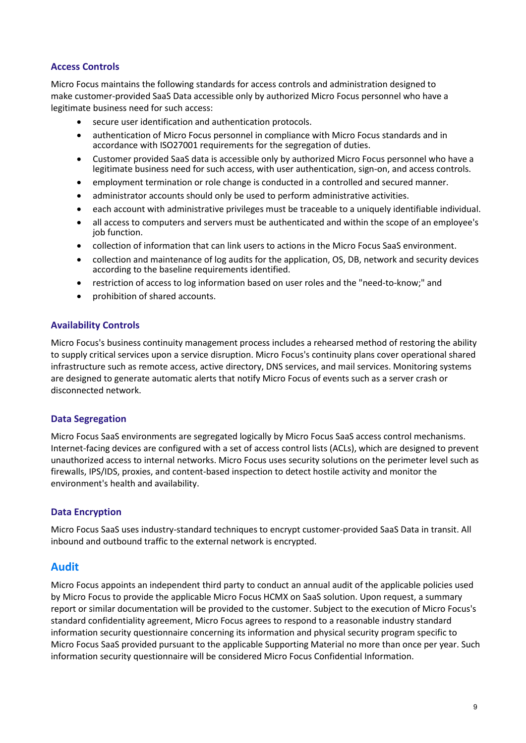#### **Access Controls**

Micro Focus maintains the following standards for access controls and administration designed to make customer-provided SaaS Data accessible only by authorized Micro Focus personnel who have a legitimate business need for such access:

- secure user identification and authentication protocols.
- authentication of Micro Focus personnel in compliance with Micro Focus standards and in accordance with ISO27001 requirements for the segregation of duties.
- Customer provided SaaS data is accessible only by authorized Micro Focus personnel who have a legitimate business need for such access, with user authentication, sign-on, and access controls.
- employment termination or role change is conducted in a controlled and secured manner.
- administrator accounts should only be used to perform administrative activities.
- each account with administrative privileges must be traceable to a uniquely identifiable individual.
- all access to computers and servers must be authenticated and within the scope of an employee's job function.
- collection of information that can link users to actions in the Micro Focus SaaS environment.
- collection and maintenance of log audits for the application, OS, DB, network and security devices according to the baseline requirements identified.
- restriction of access to log information based on user roles and the "need-to-know;" and
- prohibition of shared accounts.

#### **Availability Controls**

Micro Focus's business continuity management process includes a rehearsed method of restoring the ability to supply critical services upon a service disruption. Micro Focus's continuity plans cover operational shared infrastructure such as remote access, active directory, DNS services, and mail services. Monitoring systems are designed to generate automatic alerts that notify Micro Focus of events such as a server crash or disconnected network.

#### **Data Segregation**

Micro Focus SaaS environments are segregated logically by Micro Focus SaaS access control mechanisms. Internet-facing devices are configured with a set of access control lists (ACLs), which are designed to prevent unauthorized access to internal networks. Micro Focus uses security solutions on the perimeter level such as firewalls, IPS/IDS, proxies, and content-based inspection to detect hostile activity and monitor the environment's health and availability.

#### **Data Encryption**

Micro Focus SaaS uses industry-standard techniques to encrypt customer-provided SaaS Data in transit. All inbound and outbound traffic to the external network is encrypted.

#### <span id="page-8-0"></span>**Audit**

Micro Focus appoints an independent third party to conduct an annual audit of the applicable policies used by Micro Focus to provide the applicable Micro Focus HCMX on SaaS solution. Upon request, a summary report or similar documentation will be provided to the customer. Subject to the execution of Micro Focus's standard confidentiality agreement, Micro Focus agrees to respond to a reasonable industry standard information security questionnaire concerning its information and physical security program specific to Micro Focus SaaS provided pursuant to the applicable Supporting Material no more than once per year. Such information security questionnaire will be considered Micro Focus Confidential Information.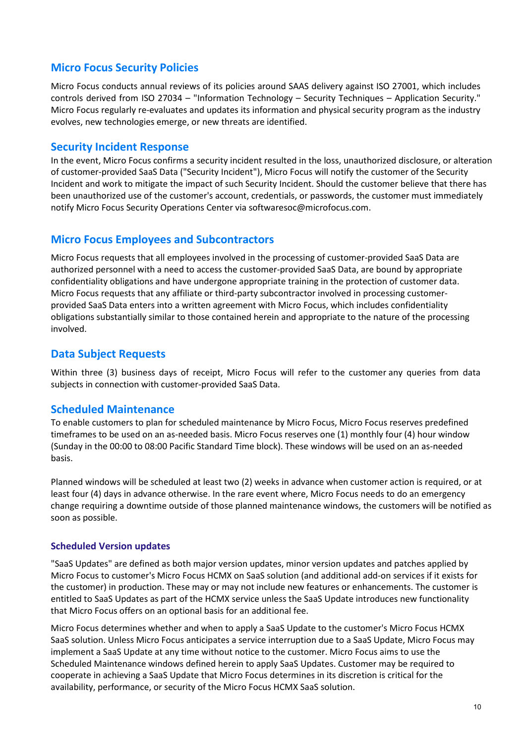# <span id="page-9-0"></span>**Micro Focus Security Policies**

Micro Focus conducts annual reviews of its policies around SAAS delivery against ISO 27001, which includes controls derived from ISO 27034 – "Information Technology – Security Techniques – Application Security." Micro Focus regularly re-evaluates and updates its information and physical security program as the industry evolves, new technologies emerge, or new threats are identified.

# <span id="page-9-1"></span>**Security Incident Response**

In the event, Micro Focus confirms a security incident resulted in the loss, unauthorized disclosure, or alteration of customer-provided SaaS Data ("Security Incident"), Micro Focus will notify the customer of the Security Incident and work to mitigate the impact of such Security Incident. Should the customer believe that there has been unauthorized use of the customer's account, credentials, or passwords, the customer must immediately notify Micro Focus Security Operations Center via softwaresoc@microfocus.com.

# <span id="page-9-2"></span>**Micro Focus Employees and Subcontractors**

Micro Focus requests that all employees involved in the processing of customer-provided SaaS Data are authorized personnel with a need to access the customer-provided SaaS Data, are bound by appropriate confidentiality obligations and have undergone appropriate training in the protection of customer data. Micro Focus requests that any affiliate or third-party subcontractor involved in processing customerprovided SaaS Data enters into a written agreement with Micro Focus, which includes confidentiality obligations substantially similar to those contained herein and appropriate to the nature of the processing involved.

# <span id="page-9-3"></span>**Data Subject Requests**

Within three (3) business days of receipt, Micro Focus will refer to the customer any queries from data subjects in connection with customer-provided SaaS Data.

# <span id="page-9-4"></span>**Scheduled Maintenance**

To enable customers to plan for scheduled maintenance by Micro Focus, Micro Focus reserves predefined timeframes to be used on an as-needed basis. Micro Focus reserves one (1) monthly four (4) hour window (Sunday in the 00:00 to 08:00 Pacific Standard Time block). These windows will be used on an as-needed basis.

Planned windows will be scheduled at least two (2) weeks in advance when customer action is required, or at least four (4) days in advance otherwise. In the rare event where, Micro Focus needs to do an emergency change requiring a downtime outside of those planned maintenance windows, the customers will be notified as soon as possible.

#### **Scheduled Version updates**

"SaaS Updates" are defined as both major version updates, minor version updates and patches applied by Micro Focus to customer's Micro Focus HCMX on SaaS solution (and additional add-on services if it exists for the customer) in production. These may or may not include new features or enhancements. The customer is entitled to SaaS Updates as part of the HCMX service unless the SaaS Update introduces new functionality that Micro Focus offers on an optional basis for an additional fee.

Micro Focus determines whether and when to apply a SaaS Update to the customer's Micro Focus HCMX SaaS solution. Unless Micro Focus anticipates a service interruption due to a SaaS Update, Micro Focus may implement a SaaS Update at any time without notice to the customer. Micro Focus aims to use the Scheduled Maintenance windows defined herein to apply SaaS Updates. Customer may be required to cooperate in achieving a SaaS Update that Micro Focus determines in its discretion is critical for the availability, performance, or security of the Micro Focus HCMX SaaS solution.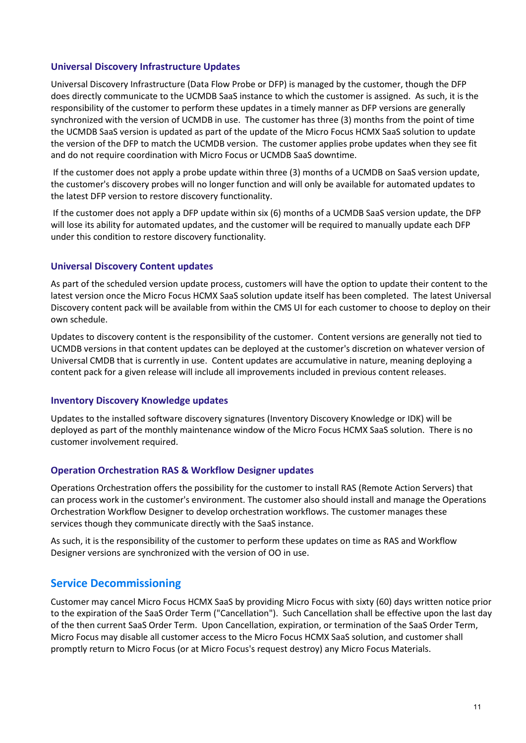#### **Universal Discovery Infrastructure Updates**

Universal Discovery Infrastructure (Data Flow Probe or DFP) is managed by the customer, though the DFP does directly communicate to the UCMDB SaaS instance to which the customer is assigned. As such, it is the responsibility of the customer to perform these updates in a timely manner as DFP versions are generally synchronized with the version of UCMDB in use. The customer has three (3) months from the point of time the UCMDB SaaS version is updated as part of the update of the Micro Focus HCMX SaaS solution to update the version of the DFP to match the UCMDB version. The customer applies probe updates when they see fit and do not require coordination with Micro Focus or UCMDB SaaS downtime.

If the customer does not apply a probe update within three (3) months of a UCMDB on SaaS version update, the customer's discovery probes will no longer function and will only be available for automated updates to the latest DFP version to restore discovery functionality.

If the customer does not apply a DFP update within six (6) months of a UCMDB SaaS version update, the DFP will lose its ability for automated updates, and the customer will be required to manually update each DFP under this condition to restore discovery functionality.

#### **Universal Discovery Content updates**

As part of the scheduled version update process, customers will have the option to update their content to the latest version once the Micro Focus HCMX SaaS solution update itself has been completed. The latest Universal Discovery content pack will be available from within the CMS UI for each customer to choose to deploy on their own schedule.

Updates to discovery content is the responsibility of the customer. Content versions are generally not tied to UCMDB versions in that content updates can be deployed at the customer's discretion on whatever version of Universal CMDB that is currently in use. Content updates are accumulative in nature, meaning deploying a content pack for a given release will include all improvements included in previous content releases.

#### **Inventory Discovery Knowledge updates**

Updates to the installed software discovery signatures (Inventory Discovery Knowledge or IDK) will be deployed as part of the monthly maintenance window of the Micro Focus HCMX SaaS solution. There is no customer involvement required.

#### **Operation Orchestration RAS & Workflow Designer updates**

Operations Orchestration offers the possibility for the customer to install RAS (Remote Action Servers) that can process work in the customer's environment. The customer also should install and manage the Operations Orchestration Workflow Designer to develop orchestration workflows. The customer manages these services though they communicate directly with the SaaS instance.

As such, it is the responsibility of the customer to perform these updates on time as RAS and Workflow Designer versions are synchronized with the version of OO in use.

# <span id="page-10-0"></span>**Service Decommissioning**

Customer may cancel Micro Focus HCMX SaaS by providing Micro Focus with sixty (60) days written notice prior to the expiration of the SaaS Order Term ("Cancellation"). Such Cancellation shall be effective upon the last day of the then current SaaS Order Term. Upon Cancellation, expiration, or termination of the SaaS Order Term, Micro Focus may disable all customer access to the Micro Focus HCMX SaaS solution, and customer shall promptly return to Micro Focus (or at Micro Focus's request destroy) any Micro Focus Materials.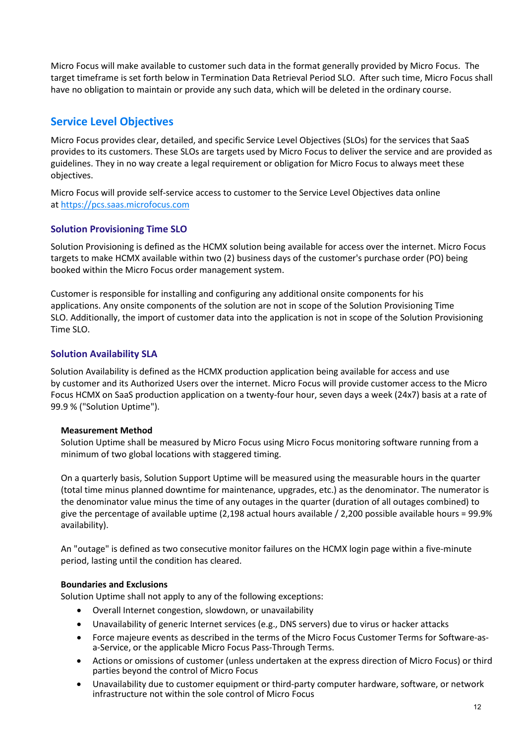Micro Focus will make available to customer such data in the format generally provided by Micro Focus. The target timeframe is set forth below in Termination Data Retrieval Period SLO. After such time, Micro Focus shall have no obligation to maintain or provide any such data, which will be deleted in the ordinary course.

# <span id="page-11-0"></span>**Service Level Objectives**

Micro Focus provides clear, detailed, and specific Service Level Objectives (SLOs) for the services that SaaS provides to its customers. These SLOs are targets used by Micro Focus to deliver the service and are provided as guidelines. They in no way create a legal requirement or obligation for Micro Focus to always meet these objectives.

Micro Focus will provide self-service access to customer to the Service Level Objectives data online at [https://pcs.saas.microfocus.com](https://pcs.saas.microfocus.com/) 

#### **Solution Provisioning Time SLO**

Solution Provisioning is defined as the HCMX solution being available for access over the internet. Micro Focus targets to make HCMX available within two (2) business days of the customer's purchase order (PO) being booked within the Micro Focus order management system.

Customer is responsible for installing and configuring any additional onsite components for his applications. Any onsite components of the solution are not in scope of the Solution Provisioning Time SLO. Additionally, the import of customer data into the application is not in scope of the Solution Provisioning Time SLO.

## **Solution Availability SLA**

Solution Availability is defined as the HCMX production application being available for access and use by customer and its Authorized Users over the internet. Micro Focus will provide customer access to the Micro Focus HCMX on SaaS production application on a twenty-four hour, seven days a week (24x7) basis at a rate of 99.9 % ("Solution Uptime").

#### **Measurement Method**

Solution Uptime shall be measured by Micro Focus using Micro Focus monitoring software running from a minimum of two global locations with staggered timing.

On a quarterly basis, Solution Support Uptime will be measured using the measurable hours in the quarter (total time minus planned downtime for maintenance, upgrades, etc.) as the denominator. The numerator is the denominator value minus the time of any outages in the quarter (duration of all outages combined) to give the percentage of available uptime (2,198 actual hours available / 2,200 possible available hours = 99.9% availability).

An "outage" is defined as two consecutive monitor failures on the HCMX login page within a five-minute period, lasting until the condition has cleared.

#### **Boundaries and Exclusions**

Solution Uptime shall not apply to any of the following exceptions:

- Overall Internet congestion, slowdown, or unavailability
- Unavailability of generic Internet services (e.g., DNS servers) due to virus or hacker attacks
- Force majeure events as described in the terms of the Micro Focus Customer Terms for Software-asa-Service, or the applicable Micro Focus Pass-Through Terms.
- Actions or omissions of customer (unless undertaken at the express direction of Micro Focus) or third parties beyond the control of Micro Focus
- Unavailability due to customer equipment or third-party computer hardware, software, or network infrastructure not within the sole control of Micro Focus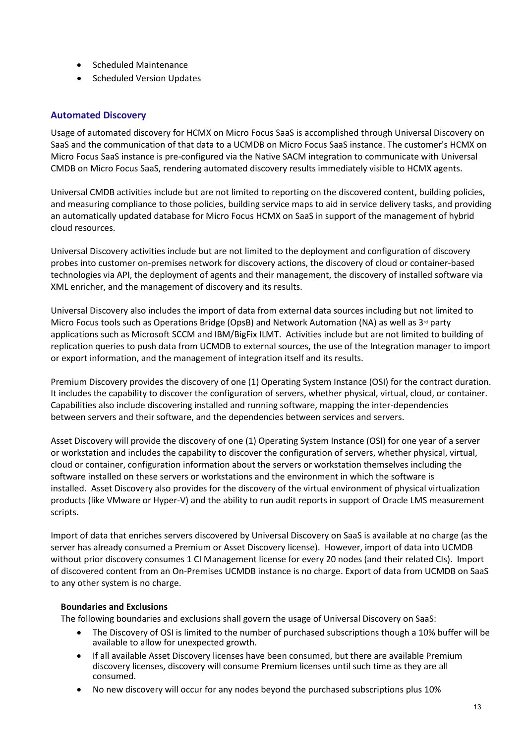- Scheduled Maintenance
- Scheduled Version Updates

## **Automated Discovery**

Usage of automated discovery for HCMX on Micro Focus SaaS is accomplished through Universal Discovery on SaaS and the communication of that data to a UCMDB on Micro Focus SaaS instance. The customer's HCMX on Micro Focus SaaS instance is pre-configured via the Native SACM integration to communicate with Universal CMDB on Micro Focus SaaS, rendering automated discovery results immediately visible to HCMX agents.

Universal CMDB activities include but are not limited to reporting on the discovered content, building policies, and measuring compliance to those policies, building service maps to aid in service delivery tasks, and providing an automatically updated database for Micro Focus HCMX on SaaS in support of the management of hybrid cloud resources.

Universal Discovery activities include but are not limited to the deployment and configuration of discovery probes into customer on-premises network for discovery actions, the discovery of cloud or container-based technologies via API, the deployment of agents and their management, the discovery of installed software via XML enricher, and the management of discovery and its results.

Universal Discovery also includes the import of data from external data sources including but not limited to Micro Focus tools such as Operations Bridge (OpsB) and Network Automation (NA) as well as  $3<sup>rd</sup>$  party applications such as Microsoft SCCM and IBM/BigFix ILMT. Activities include but are not limited to building of replication queries to push data from UCMDB to external sources, the use of the Integration manager to import or export information, and the management of integration itself and its results.

Premium Discovery provides the discovery of one (1) Operating System Instance (OSI) for the contract duration. It includes the capability to discover the configuration of servers, whether physical, virtual, cloud, or container. Capabilities also include discovering installed and running software, mapping the inter-dependencies between servers and their software, and the dependencies between services and servers.

Asset Discovery will provide the discovery of one (1) Operating System Instance (OSI) for one year of a server or workstation and includes the capability to discover the configuration of servers, whether physical, virtual, cloud or container, configuration information about the servers or workstation themselves including the software installed on these servers or workstations and the environment in which the software is installed. Asset Discovery also provides for the discovery of the virtual environment of physical virtualization products (like VMware or Hyper-V) and the ability to run audit reports in support of Oracle LMS measurement scripts.

Import of data that enriches servers discovered by Universal Discovery on SaaS is available at no charge (as the server has already consumed a Premium or Asset Discovery license). However, import of data into UCMDB without prior discovery consumes 1 CI Management license for every 20 nodes (and their related CIs). Import of discovered content from an On-Premises UCMDB instance is no charge. Export of data from UCMDB on SaaS to any other system is no charge.

#### **Boundaries and Exclusions**

The following boundaries and exclusions shall govern the usage of Universal Discovery on SaaS:

- The Discovery of OSI is limited to the number of purchased subscriptions though a 10% buffer will be available to allow for unexpected growth.
- If all available Asset Discovery licenses have been consumed, but there are available Premium discovery licenses, discovery will consume Premium licenses until such time as they are all consumed.
- No new discovery will occur for any nodes beyond the purchased subscriptions plus 10%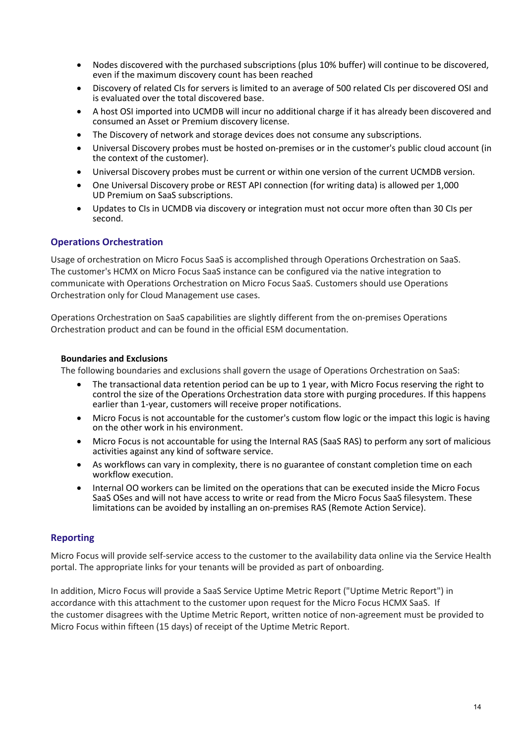- Nodes discovered with the purchased subscriptions (plus 10% buffer) will continue to be discovered, even if the maximum discovery count has been reached
- Discovery of related CIs for servers is limited to an average of 500 related CIs per discovered OSI and is evaluated over the total discovered base.
- A host OSI imported into UCMDB will incur no additional charge if it has already been discovered and consumed an Asset or Premium discovery license.
- The Discovery of network and storage devices does not consume any subscriptions.
- Universal Discovery probes must be hosted on-premises or in the customer's public cloud account (in the context of the customer).
- Universal Discovery probes must be current or within one version of the current UCMDB version.
- One Universal Discovery probe or REST API connection (for writing data) is allowed per 1,000 UD Premium on SaaS subscriptions.
- Updates to CIs in UCMDB via discovery or integration must not occur more often than 30 CIs per second.

## **Operations Orchestration**

Usage of orchestration on Micro Focus SaaS is accomplished through Operations Orchestration on SaaS. The customer's HCMX on Micro Focus SaaS instance can be configured via the native integration to communicate with Operations Orchestration on Micro Focus SaaS. Customers should use Operations Orchestration only for Cloud Management use cases.

Operations Orchestration on SaaS capabilities are slightly different from the on-premises Operations Orchestration product and can be found in the official ESM documentation.

#### **Boundaries and Exclusions**

The following boundaries and exclusions shall govern the usage of Operations Orchestration on SaaS:

- The transactional data retention period can be up to 1 year, with Micro Focus reserving the right to control the size of the Operations Orchestration data store with purging procedures. If this happens earlier than 1-year, customers will receive proper notifications.
- Micro Focus is not accountable for the customer's custom flow logic or the impact this logic is having on the other work in his environment.
- Micro Focus is not accountable for using the Internal RAS (SaaS RAS) to perform any sort of malicious activities against any kind of software service.
- As workflows can vary in complexity, there is no guarantee of constant completion time on each workflow execution.
- Internal OO workers can be limited on the operations that can be executed inside the Micro Focus SaaS OSes and will not have access to write or read from the Micro Focus SaaS filesystem. These limitations can be avoided by installing an on-premises RAS (Remote Action Service).

#### **Reporting**

Micro Focus will provide self-service access to the customer to the availability data online via the Service Health portal. The appropriate links for your tenants will be provided as part of onboarding.

In addition, Micro Focus will provide a SaaS Service Uptime Metric Report ("Uptime Metric Report") in accordance with this attachment to the customer upon request for the Micro Focus HCMX SaaS. If the customer disagrees with the Uptime Metric Report, written notice of non-agreement must be provided to Micro Focus within fifteen (15 days) of receipt of the Uptime Metric Report.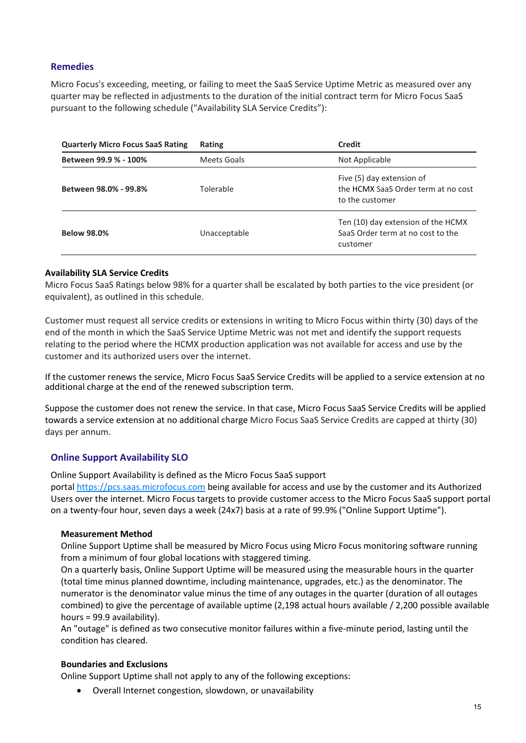#### **Remedies**

Micro Focus's exceeding, meeting, or failing to meet the SaaS Service Uptime Metric as measured over any quarter may be reflected in adjustments to the duration of the initial contract term for Micro Focus SaaS pursuant to the following schedule ("Availability SLA Service Credits"):

| <b>Quarterly Micro Focus SaaS Rating</b> | Rating       | Credit                                                                              |
|------------------------------------------|--------------|-------------------------------------------------------------------------------------|
| Between 99.9 % - 100%                    | Meets Goals  | Not Applicable                                                                      |
| Between 98.0% - 99.8%                    | Tolerable    | Five (5) day extension of<br>the HCMX SaaS Order term at no cost<br>to the customer |
| <b>Below 98.0%</b>                       | Unacceptable | Ten (10) day extension of the HCMX<br>SaaS Order term at no cost to the<br>customer |

#### **Availability SLA Service Credits**

Micro Focus SaaS Ratings below 98% for a quarter shall be escalated by both parties to the vice president (or equivalent), as outlined in this schedule.

Customer must request all service credits or extensions in writing to Micro Focus within thirty (30) days of the end of the month in which the SaaS Service Uptime Metric was not met and identify the support requests relating to the period where the HCMX production application was not available for access and use by the customer and its authorized users over the internet.

If the customer renews the service, Micro Focus SaaS Service Credits will be applied to a service extension at no additional charge at the end of the renewed subscription term.

Suppose the customer does not renew the service. In that case, Micro Focus SaaS Service Credits will be applied towards a service extension at no additional charge Micro Focus SaaS Service Credits are capped at thirty (30) days per annum.

#### **Online Support Availability SLO**

Online Support Availability is defined as the Micro Focus SaaS support

portal [https://pcs.saas.microfocus.com](https://pcs.saas.microfocus.com/) being available for access and use by the customer and its Authorized Users over the internet. Micro Focus targets to provide customer access to the Micro Focus SaaS support portal on a twenty-four hour, seven days a week (24x7) basis at a rate of 99.9% ("Online Support Uptime").

#### **Measurement Method**

Online Support Uptime shall be measured by Micro Focus using Micro Focus monitoring software running from a minimum of four global locations with staggered timing.

On a quarterly basis, Online Support Uptime will be measured using the measurable hours in the quarter (total time minus planned downtime, including maintenance, upgrades, etc.) as the denominator. The numerator is the denominator value minus the time of any outages in the quarter (duration of all outages combined) to give the percentage of available uptime (2,198 actual hours available / 2,200 possible available hours = 99.9 availability).

An "outage" is defined as two consecutive monitor failures within a five-minute period, lasting until the condition has cleared.

#### **Boundaries and Exclusions**

Online Support Uptime shall not apply to any of the following exceptions:

• Overall Internet congestion, slowdown, or unavailability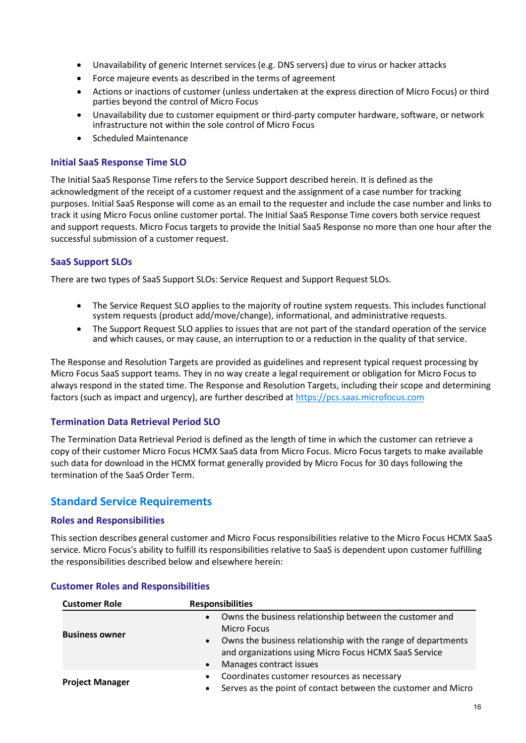- Unavailability of generic Internet services (e.g. DNS servers) due to virus or hacker attacks
- Force majeure events as described in the terms of agreement
- Actions or inactions of customer (unless undertaken at the express direction of Micro Focus) or third parties beyond the control of Micro Focus
- Unavailability due to customer equipment or third-party computer hardware, software, or network infrastructure not within the sole control of Micro Focus
- Scheduled Maintenance

#### **Initial SaaS Response Time SLO**

The Initial SaaS Response Time refers to the Service Support described herein. It is defined as the acknowledgment of the receipt of a customer request and the assignment of a case number for tracking purposes. Initial SaaS Response will come as an email to the requester and include the case number and links to track it using Micro Focus online customer portal. The Initial SaaS Response Time covers both service request and support requests. Micro Focus targets to provide the Initial SaaS Response no more than one hour after the successful submission of a customer request.

## **SaaS Support SLOs**

There are two types of SaaS Support SLOs: Service Request and Support Request SLOs.

- The Service Request SLO applies to the majority of routine system requests. This includes functional system requests (product add/move/change), informational, and administrative requests.
- The Support Request SLO applies to issues that are not part of the standard operation of the service and which causes, or may cause, an interruption to or a reduction in the quality of that service.

The Response and Resolution Targets are provided as guidelines and represent typical request processing by Micro Focus SaaS support teams. They in no way create a legal requirement or obligation for Micro Focus to always respond in the stated time. The Response and Resolution Targets, including their scope and determining factors (such as impact and urgency), are further described at [https://pcs.saas.microfocus.com](https://pcs.saas.microfocus.com/)

#### **Termination Data Retrieval Period SLO**

The Termination Data Retrieval Period is defined as the length of time in which the customer can retrieve a copy of their customer Micro Focus HCMX SaaS data from Micro Focus. Micro Focus targets to make available such data for download in the HCMX format generally provided by Micro Focus for 30 days following the termination of the SaaS Order Term.

# <span id="page-15-0"></span>**Standard Service Requirements**

#### **Roles and Responsibilities**

This section describes general customer and Micro Focus responsibilities relative to the Micro Focus HCMX SaaS service. Micro Focus's ability to fulfill its responsibilities relative to SaaS is dependent upon customer fulfilling the responsibilities described below and elsewhere herein:

| <b>Customer Role</b>   | <b>Responsibilities</b>                                                                                                                                                                                                                                                  |
|------------------------|--------------------------------------------------------------------------------------------------------------------------------------------------------------------------------------------------------------------------------------------------------------------------|
| <b>Business owner</b>  | Owns the business relationship between the customer and<br>$\bullet$<br><b>Micro Focus</b><br>Owns the business relationship with the range of departments<br>$\bullet$<br>and organizations using Micro Focus HCMX SaaS Service<br>Manages contract issues<br>$\bullet$ |
| <b>Project Manager</b> | Coordinates customer resources as necessary<br>$\bullet$<br>Serves as the point of contact between the customer and Micro<br>$\bullet$                                                                                                                                   |

#### **Customer Roles and Responsibilities**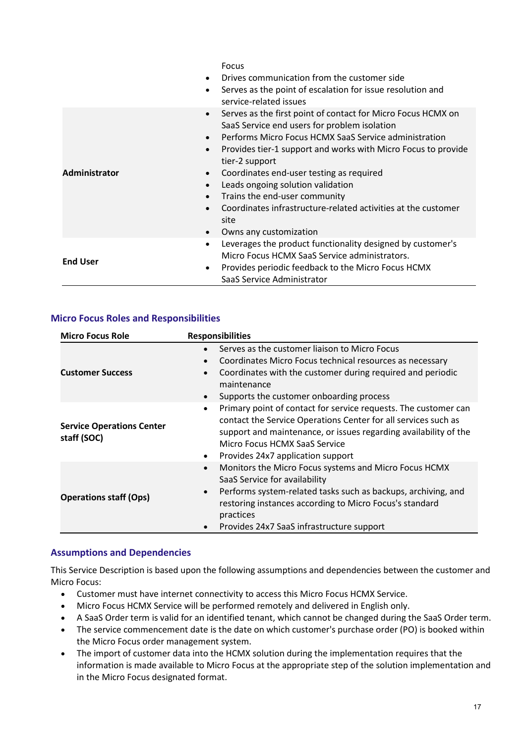|                      | Focus<br>Drives communication from the customer side<br>$\bullet$<br>Serves as the point of escalation for issue resolution and<br>٠<br>service-related issues                                                                                                                                                                                                                                                                                                                                                                                                                        |
|----------------------|---------------------------------------------------------------------------------------------------------------------------------------------------------------------------------------------------------------------------------------------------------------------------------------------------------------------------------------------------------------------------------------------------------------------------------------------------------------------------------------------------------------------------------------------------------------------------------------|
| <b>Administrator</b> | Serves as the first point of contact for Micro Focus HCMX on<br>$\bullet$<br>SaaS Service end users for problem isolation<br>Performs Micro Focus HCMX SaaS Service administration<br>$\bullet$<br>Provides tier-1 support and works with Micro Focus to provide<br>$\bullet$<br>tier-2 support<br>Coordinates end-user testing as required<br>$\bullet$<br>Leads ongoing solution validation<br>$\bullet$<br>Trains the end-user community<br>$\bullet$<br>Coordinates infrastructure-related activities at the customer<br>$\bullet$<br>site<br>Owns any customization<br>$\bullet$ |
| <b>End User</b>      | Leverages the product functionality designed by customer's<br>$\bullet$<br>Micro Focus HCMX SaaS Service administrators.<br>Provides periodic feedback to the Micro Focus HCMX<br>٠<br>SaaS Service Administrator                                                                                                                                                                                                                                                                                                                                                                     |

#### **Micro Focus Roles and Responsibilities**

| <b>Micro Focus Role</b>                         | <b>Responsibilities</b>                                                                                                                                                                                                                                                                                             |
|-------------------------------------------------|---------------------------------------------------------------------------------------------------------------------------------------------------------------------------------------------------------------------------------------------------------------------------------------------------------------------|
| <b>Customer Success</b>                         | Serves as the customer liaison to Micro Focus<br>$\bullet$<br>Coordinates Micro Focus technical resources as necessary<br>$\bullet$<br>Coordinates with the customer during required and periodic<br>$\bullet$<br>maintenance<br>Supports the customer onboarding process<br>$\bullet$                              |
| <b>Service Operations Center</b><br>staff (SOC) | Primary point of contact for service requests. The customer can<br>$\bullet$<br>contact the Service Operations Center for all services such as<br>support and maintenance, or issues regarding availability of the<br>Micro Focus HCMX SaaS Service<br>Provides 24x7 application support<br>$\bullet$               |
| <b>Operations staff (Ops)</b>                   | Monitors the Micro Focus systems and Micro Focus HCMX<br>$\bullet$<br>SaaS Service for availability<br>Performs system-related tasks such as backups, archiving, and<br>$\bullet$<br>restoring instances according to Micro Focus's standard<br>practices<br>Provides 24x7 SaaS infrastructure support<br>$\bullet$ |

#### **Assumptions and Dependencies**

This Service Description is based upon the following assumptions and dependencies between the customer and Micro Focus:

- Customer must have internet connectivity to access this Micro Focus HCMX Service.
- Micro Focus HCMX Service will be performed remotely and delivered in English only.
- A SaaS Order term is valid for an identified tenant, which cannot be changed during the SaaS Order term.
- The service commencement date is the date on which customer's purchase order (PO) is booked within the Micro Focus order management system.
- The import of customer data into the HCMX solution during the implementation requires that the information is made available to Micro Focus at the appropriate step of the solution implementation and in the Micro Focus designated format.